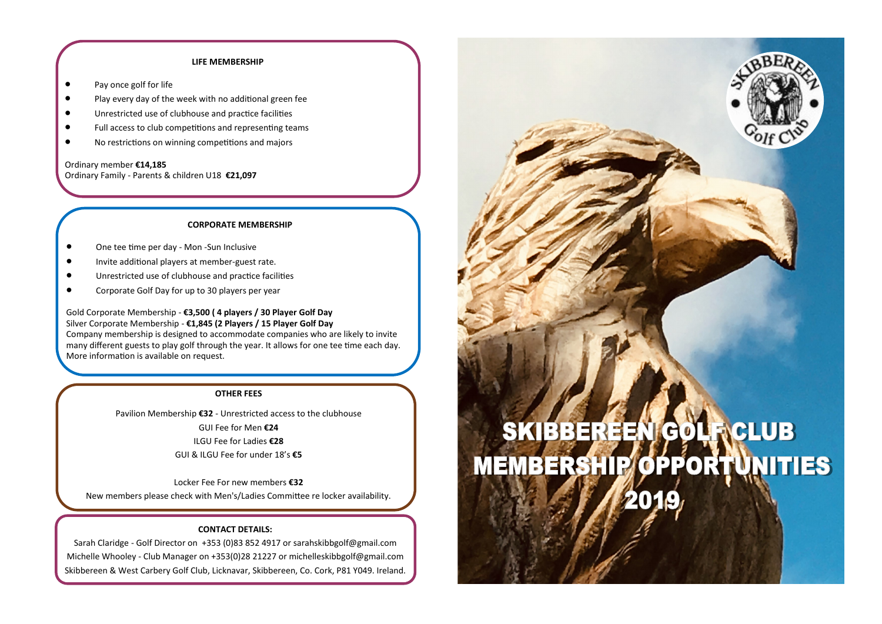# **LIFE MEMBERSHIP**

- Pay once golf for life
- Play every day of the week with no additional green fee
- Unrestricted use of clubhouse and practice facilities
- Full access to club competitions and representing teams
- No restrictions on winning competitions and majors

Ordinary member **€14,185** Ordinary Family - Parents & children U18 **€21,097**

# **CORPORATE MEMBERSHIP**

- One tee time per day Mon -Sun Inclusive
- Invite additional players at member-guest rate.
- Unrestricted use of clubhouse and practice facilities
- Corporate Golf Day for up to 30 players per year

Gold Corporate Membership - **€3,500 ( 4 players / 30 Player Golf Day** Silver Corporate Membership - **€1,845 (2 Players / 15 Player Golf Day** Company membership is designed to accommodate companies who are likely to invite many different guests to play golf through the year. It allows for one tee time each day. More information is available on request.

## **OTHER FEES**

Pavilion Membership **€32** - Unrestricted access to the clubhouse GUI Fee for Men **€24** ILGU Fee for Ladies **€28** GUI & ILGU Fee for under 18's **€5**

Locker Fee For new members **€32** New members please check with Men's/Ladies Committee re locker availability.

# **CONTACT DETAILS:**

Sarah Claridge - Golf Director on +353 (0)83 852 4917 or sarahskibbgolf@gmail.com Michelle Whooley - Club Manager on +353(0)28 21227 or michelleskibbgolf@gmail.com Skibbereen & West Carbery Golf Club, Licknavar, Skibbereen, Co. Cork, P81 Y049. Ireland.

# **SKIBBEREEN** CLUB (C) **MEMBERSHIP OPPORTUNITIES**